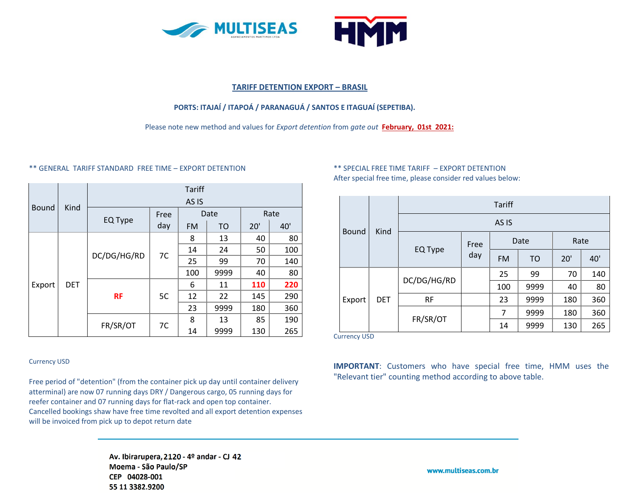



#### **TARIFF DETENTION EXPORT – BRASIL**

# **PORTS: ITAJAÍ / ITAPOÁ / PARANAGUÁ / SANTOS E ITAGUAÍ (SEPETIBA).**

Please note new method and values for *Export detention* from *gate out* **February, 01st 2021:**

#### \*\* GENERAL TARIFF STANDARD FREE TIME – EXPORT DETENTION

|              | Kind       | <b>Tariff</b>    |      |           |           |      |     |  |  |
|--------------|------------|------------------|------|-----------|-----------|------|-----|--|--|
| <b>Bound</b> |            | AS <sub>IS</sub> |      |           |           |      |     |  |  |
|              |            | EQ Type          | Free | Date      |           | Rate |     |  |  |
|              |            |                  | day  | <b>FM</b> | <b>TO</b> | 20'  | 40' |  |  |
| Export       | <b>DET</b> | DC/DG/HG/RD      | 7C   | 8         | 13        | 40   | 80  |  |  |
|              |            |                  |      | 14        | 24        | 50   | 100 |  |  |
|              |            |                  |      | 25        | 99        | 70   | 140 |  |  |
|              |            |                  |      | 100       | 9999      | 40   | 80  |  |  |
|              |            | <b>RF</b>        | 5C   | 6         | 11        | 110  | 220 |  |  |
|              |            |                  |      | 12        | 22        | 145  | 290 |  |  |
|              |            |                  |      | 23        | 9999      | 180  | 360 |  |  |
|              |            | FR/SR/OT         | 7C   | 8         | 13        | 85   | 190 |  |  |
|              |            |                  |      | 14        | 9999      | 130  | 265 |  |  |

#### Currency USD

Free period of "detention" (from the container pick up day until container delivery atterminal) are now 07 running days DRY / Dangerous cargo, 05 running days for reefer container and 07 running days for flat-rack and open top container. Cancelled bookings shaw have free time revolted and all export detention expenses will be invoiced from pick up to depot return date

# Av. Ibirarupera, 2120 - 4º andar - CJ 42 Moema - São Paulo/SP CEP 04028-001 55 11 3382.9200

# \*\* SPECIAL FREE TIME TARIFF – EXPORT DETENTION After special free time, please consider red values below:

|              | Kind       | <b>Tariff</b>    |             |           |                |      |     |  |  |  |
|--------------|------------|------------------|-------------|-----------|----------------|------|-----|--|--|--|
| <b>Bound</b> |            | AS <sub>IS</sub> |             |           |                |      |     |  |  |  |
|              |            | EQ Type          | Free<br>day | Date      |                | Rate |     |  |  |  |
|              |            |                  |             | <b>FM</b> | T <sub>O</sub> | 20'  | 40' |  |  |  |
| Export       | <b>DET</b> | DC/DG/HG/RD      |             | 25        | 99             | 70   | 140 |  |  |  |
|              |            |                  |             | 100       | 9999           | 40   | 80  |  |  |  |
|              |            | <b>RF</b>        |             | 23        | 9999           | 180  | 360 |  |  |  |
|              |            | FR/SR/OT         |             | 7         | 9999           | 180  | 360 |  |  |  |
|              |            |                  |             | 14        | 9999           | 130  | 265 |  |  |  |

Currency USD

**IMPORTANT**: Customers who have special free time, HMM uses the "Relevant tier" counting method according to above table.

www.multiseas.com.br